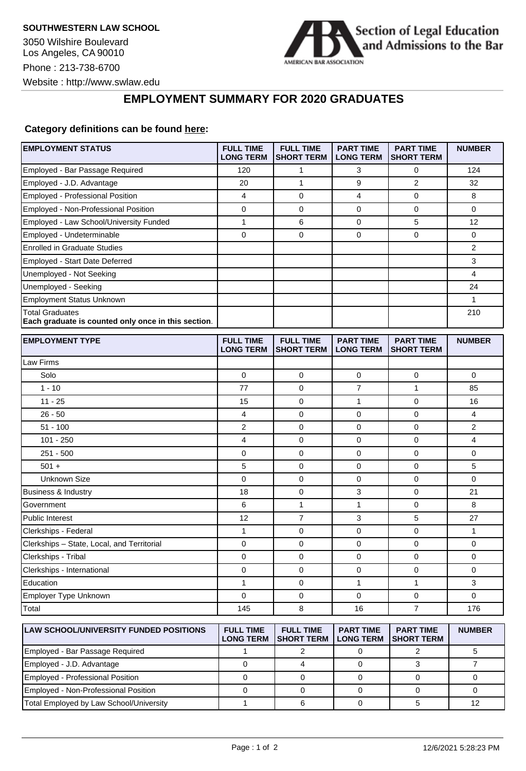

## **EMPLOYMENT SUMMARY FOR 2020 GRADUATES**

## **Category definitions can be found [here:](https://www.americanbar.org/content/dam/aba/administrative/legal_education_and_admissions_to_the_bar/Questionnaires/employment-protocol-class-of-2020.pdf)**

| <b>EMPLOYMENT STATUS</b>                                                      | <b>FULL TIME</b><br><b>LONG TERM</b> | <b>FULL TIME</b><br><b>SHORT TERM</b> | <b>PART TIME</b><br><b>LONG TERM</b> | <b>PART TIME</b><br><b>SHORT TERM</b> | <b>NUMBER</b> |
|-------------------------------------------------------------------------------|--------------------------------------|---------------------------------------|--------------------------------------|---------------------------------------|---------------|
| Employed - Bar Passage Required                                               | 120                                  | 1                                     | 3                                    | 0                                     | 124           |
| Employed - J.D. Advantage                                                     | 20                                   | $\mathbf{1}$                          | 9                                    | $\overline{2}$                        | 32            |
| Employed - Professional Position                                              | 4                                    | $\mathbf 0$                           | 4                                    | $\mathbf 0$                           | 8             |
| Employed - Non-Professional Position                                          | 0                                    | 0                                     | 0                                    | 0                                     | 0             |
| Employed - Law School/University Funded                                       | 1                                    | 6                                     | 0                                    | 5                                     | 12            |
| Employed - Undeterminable                                                     | 0                                    | $\mathbf 0$                           | 0                                    | $\mathbf 0$                           | 0             |
| <b>Enrolled in Graduate Studies</b>                                           |                                      |                                       |                                      |                                       | 2             |
| Employed - Start Date Deferred                                                |                                      |                                       |                                      |                                       | 3             |
| Unemployed - Not Seeking                                                      |                                      |                                       |                                      |                                       | 4             |
| Unemployed - Seeking                                                          |                                      |                                       |                                      |                                       | 24            |
| <b>Employment Status Unknown</b>                                              |                                      |                                       |                                      |                                       | 1             |
| <b>Total Graduates</b><br>Each graduate is counted only once in this section. |                                      |                                       |                                      |                                       | 210           |
| <b>EMPLOYMENT TYPE</b>                                                        | <b>FULL TIME</b><br><b>LONG TERM</b> | <b>FULL TIME</b><br><b>SHORT TERM</b> | <b>PART TIME</b><br><b>LONG TERM</b> | <b>PART TIME</b><br><b>SHORT TERM</b> | <b>NUMBER</b> |
| Law Firms                                                                     |                                      |                                       |                                      |                                       |               |
| Solo                                                                          | 0                                    | $\mathbf 0$                           | 0                                    | $\mathbf 0$                           | 0             |
| $1 - 10$                                                                      | 77                                   | 0                                     | 7                                    | 1                                     | 85            |
| $11 - 25$                                                                     | 15                                   | $\mathbf 0$                           | $\mathbf{1}$                         | $\mathbf 0$                           | 16            |
| $26 - 50$                                                                     | 4                                    | 0                                     | 0                                    | 0                                     | 4             |
| $51 - 100$                                                                    | 2                                    | 0                                     | 0                                    | $\mathbf 0$                           | 2             |
| $101 - 250$                                                                   | 4                                    | $\mathbf 0$                           | 0                                    | $\mathbf 0$                           | 4             |
| $251 - 500$                                                                   | 0                                    | $\mathbf 0$                           | 0                                    | 0                                     | 0             |
| $501 +$                                                                       | 5                                    | $\mathbf 0$                           | 0                                    | $\mathbf 0$                           | 5             |
| Unknown Size                                                                  | 0                                    | 0                                     | 0                                    | 0                                     | 0             |
| Business & Industry                                                           | 18                                   | $\mathbf 0$                           | 3                                    | $\mathbf 0$                           | 21            |
| Government                                                                    | 6                                    | 1                                     | 1                                    | 0                                     | 8             |
| <b>Public Interest</b>                                                        | $12 \overline{ }$                    | $\overline{7}$                        | 3                                    | 5                                     | 27            |
| Clerkships - Federal                                                          | 1                                    | 0                                     | 0                                    | $\mathbf 0$                           | 1             |
| Clerkships - State, Local, and Territorial                                    | 0                                    | 0                                     | 0                                    | $\mathbf 0$                           | 0             |
| Clerkships - Tribal                                                           | 0                                    | 0                                     | 0                                    | $\mathbf 0$                           | 0             |
| Clerkships - International                                                    | 0                                    | $\mathbf 0$                           | 0                                    | $\mathbf 0$                           | 0             |
| Education                                                                     | 1                                    | 0                                     | 1                                    | $\mathbf{1}$                          | 3             |
| Employer Type Unknown                                                         | 0                                    | $\mathbf 0$                           | 0                                    | 0                                     | 0             |
| Total                                                                         | 145                                  | 8                                     | 16                                   | $\overline{7}$                        | 176           |
| <b>LAW SCHOOL/UNIVERSITY FUNDED POSITIONS</b>                                 | <b>FULL TIME</b><br><b>LONG TERM</b> | <b>FULL TIME</b><br><b>SHORT TERM</b> | <b>PART TIME</b><br><b>LONG TERM</b> | <b>PART TIME</b><br><b>SHORT TERM</b> | <b>NUMBER</b> |
| Employed - Bar Passage Required                                               | $\mathbf{1}$                         | $\overline{c}$                        | $\mathbf 0$                          | $\overline{2}$                        | $\mathbf 5$   |